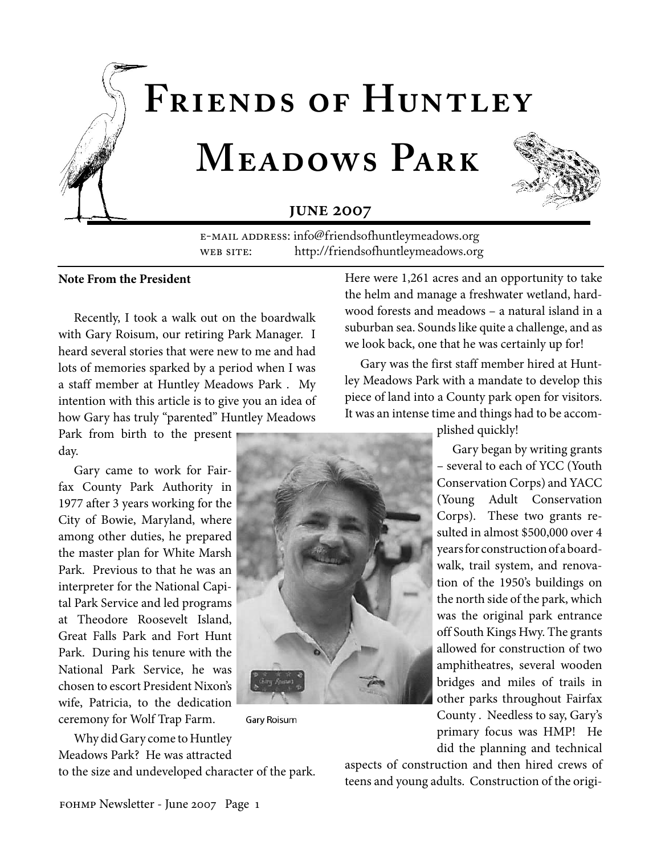



## **JUNE 2007**

E-MAIL ADDRESS: info@friendsofhuntleymeadows.org WEB SITE: http://friendsofhuntleymeadows.org

### **Note From the President**

Recently, I took a walk out on the boardwalk with Gary Roisum, our retiring Park Manager. I heard several stories that were new to me and had lots of memories sparked by a period when I was a staff member at Huntley Meadows Park . My intention with this article is to give you an idea of how Gary has truly "parented" Huntley Meadows

Park from birth to the present day.

Gary came to work for Fairfax County Park Authority in 1977 after 3 years working for the City of Bowie, Maryland, where among other duties, he prepared the master plan for White Marsh Park. Previous to that he was an interpreter for the National Capital Park Service and led programs at Theodore Roosevelt Island, Great Falls Park and Fort Hunt Park. During his tenure with the National Park Service, he was chosen to escort President Nixon's wife, Patricia, to the dedication ceremony for Wolf Trap Farm.



**Gary Roisum** 

Here were 1,261 acres and an opportunity to take the helm and manage a freshwater wetland, hardwood forests and meadows – a natural island in a suburban sea. Sounds like quite a challenge, and as we look back, one that he was certainly up for!

Gary was the first staff member hired at Huntley Meadows Park with a mandate to develop this piece of land into a County park open for visitors. It was an intense time and things had to be accom-

plished quickly!

Gary began by writing grants – several to each of YCC (Youth Conservation Corps) and YACC (Young Adult Conservation Corps). These two grants resulted in almost \$500,000 over 4 years for construction of a boardwalk, trail system, and renovation of the 1950's buildings on the north side of the park, which was the original park entrance off South Kings Hwy. The grants allowed for construction of two amphitheatres, several wooden bridges and miles of trails in other parks throughout Fairfax County . Needless to say, Gary's primary focus was HMP! He did the planning and technical

aspects of construction and then hired crews of teens and young adults. Construction of the origi-

Why did Gary come to Huntley Meadows Park? He was attracted

to the size and undeveloped character of the park.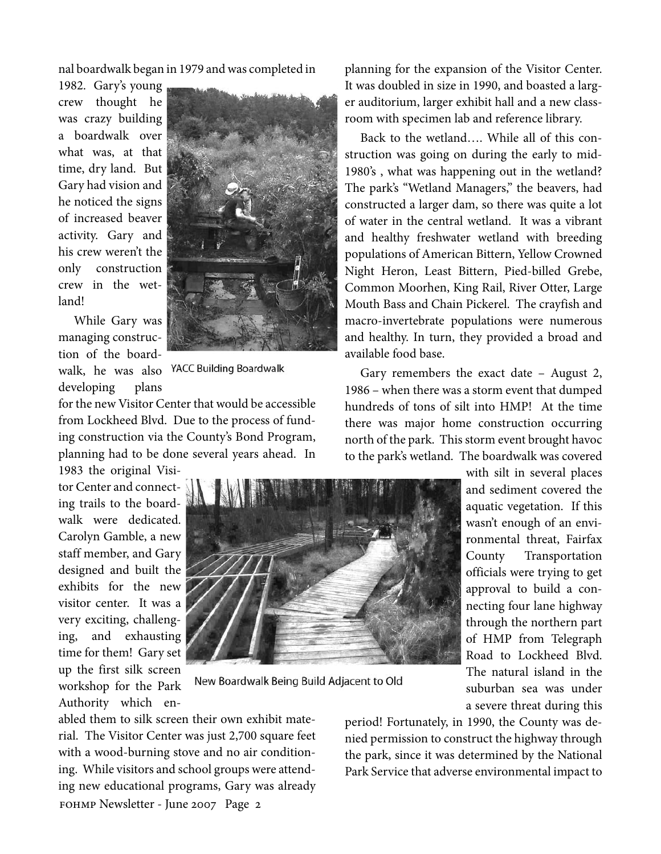nal boardwalk began in 1979 and was completed in

1982. Gary's young crew thought he was crazy building a boardwalk over what was, at that time, dry land. But Gary had vision and he noticed the signs of increased beaver activity. Gary and his crew weren't the only construction crew in the wetland!



While Gary was managing construction of the boardwalk, he was also YACC Building Boardwalk developing plans

for the new Visitor Center that would be accessible from Lockheed Blvd. Due to the process of funding construction via the County's Bond Program, planning had to be done several years ahead. In

1983 the original Visitor Center and connecting trails to the boardwalk were dedicated. Carolyn Gamble, a new staff member, and Gary designed and built the exhibits for the new visitor center. It was a very exciting, challenging, and exhausting time for them! Gary set up the first silk screen workshop for the Park Authority which en-



New Boardwalk Being Build Adjacent to Old

fohmp Newsletter - June 2007 Page 2 abled them to silk screen their own exhibit material. The Visitor Center was just 2,700 square feet with a wood-burning stove and no air conditioning. While visitors and school groups were attending new educational programs, Gary was already planning for the expansion of the Visitor Center. It was doubled in size in 1990, and boasted a larger auditorium, larger exhibit hall and a new classroom with specimen lab and reference library.

Back to the wetland…. While all of this construction was going on during the early to mid-1980's , what was happening out in the wetland? The park's "Wetland Managers," the beavers, had constructed a larger dam, so there was quite a lot of water in the central wetland. It was a vibrant and healthy freshwater wetland with breeding populations of American Bittern, Yellow Crowned Night Heron, Least Bittern, Pied-billed Grebe, Common Moorhen, King Rail, River Otter, Large Mouth Bass and Chain Pickerel. The crayfish and macro-invertebrate populations were numerous and healthy. In turn, they provided a broad and available food base.

Gary remembers the exact date – August 2, 1986 – when there was a storm event that dumped hundreds of tons of silt into HMP! At the time there was major home construction occurring north of the park. This storm event brought havoc to the park's wetland. The boardwalk was covered

> with silt in several places and sediment covered the aquatic vegetation. If this wasn't enough of an environmental threat, Fairfax County Transportation officials were trying to get approval to build a connecting four lane highway through the northern part of HMP from Telegraph Road to Lockheed Blvd. The natural island in the suburban sea was under a severe threat during this

period! Fortunately, in 1990, the County was denied permission to construct the highway through the park, since it was determined by the National Park Service that adverse environmental impact to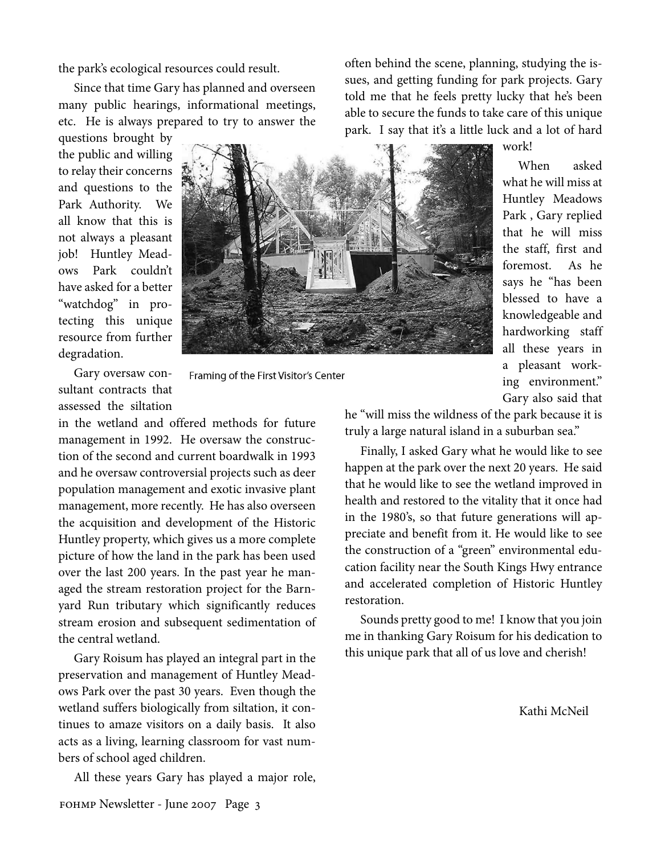the park's ecological resources could result.

Since that time Gary has planned and overseen many public hearings, informational meetings, etc. He is always prepared to try to answer the

questions brought by the public and willing to relay their concerns and questions to the Park Authority. We all know that this is not always a pleasant job! Huntley Meadows Park couldn't have asked for a better "watchdog" in protecting this unique resource from further degradation.



Framing of the First Visitor's Center

Gary oversaw consultant contracts that assessed the siltation

in the wetland and offered methods for future management in 1992. He oversaw the construction of the second and current boardwalk in 1993 and he oversaw controversial projects such as deer population management and exotic invasive plant management, more recently. He has also overseen the acquisition and development of the Historic Huntley property, which gives us a more complete picture of how the land in the park has been used over the last 200 years. In the past year he managed the stream restoration project for the Barnyard Run tributary which significantly reduces stream erosion and subsequent sedimentation of the central wetland.

Gary Roisum has played an integral part in the preservation and management of Huntley Meadows Park over the past 30 years. Even though the wetland suffers biologically from siltation, it continues to amaze visitors on a daily basis. It also acts as a living, learning classroom for vast numbers of school aged children.

All these years Gary has played a major role,

often behind the scene, planning, studying the issues, and getting funding for park projects. Gary told me that he feels pretty lucky that he's been able to secure the funds to take care of this unique park. I say that it's a little luck and a lot of hard

work!

When asked what he will miss at Huntley Meadows Park , Gary replied that he will miss the staff, first and foremost. As he says he "has been blessed to have a knowledgeable and hardworking staff all these years in a pleasant working environment." Gary also said that

he "will miss the wildness of the park because it is truly a large natural island in a suburban sea."

Finally, I asked Gary what he would like to see happen at the park over the next 20 years. He said that he would like to see the wetland improved in health and restored to the vitality that it once had in the 1980's, so that future generations will appreciate and benefit from it. He would like to see the construction of a "green" environmental education facility near the South Kings Hwy entrance and accelerated completion of Historic Huntley restoration.

Sounds pretty good to me! I know that you join me in thanking Gary Roisum for his dedication to this unique park that all of us love and cherish!

Kathi McNeil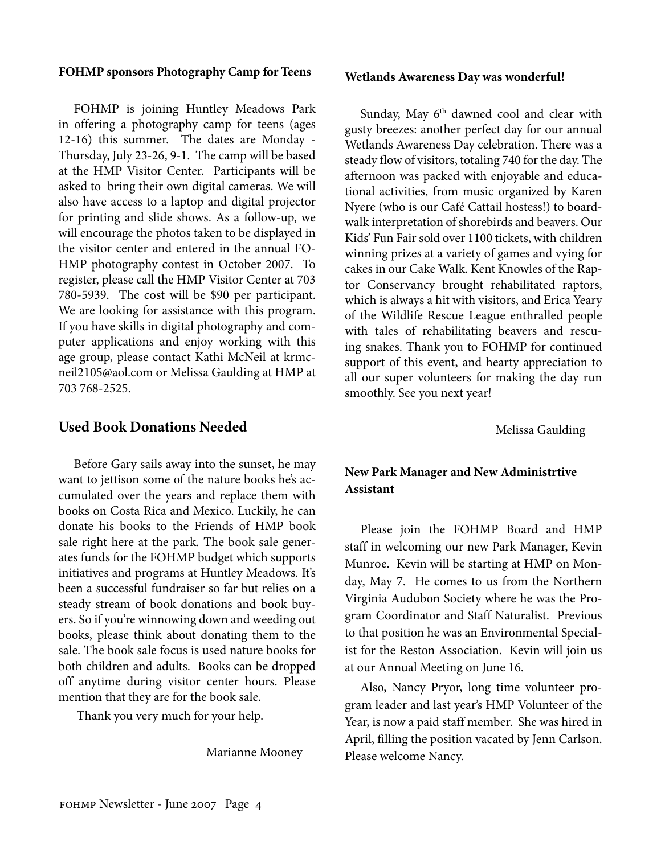### **FOHMP sponsors Photography Camp for Teens**

FOHMP is joining Huntley Meadows Park in offering a photography camp for teens (ages 12-16) this summer. The dates are Monday - Thursday, July 23-26, 9-1. The camp will be based at the HMP Visitor Center. Participants will be asked to bring their own digital cameras. We will also have access to a laptop and digital projector for printing and slide shows. As a follow-up, we will encourage the photos taken to be displayed in the visitor center and entered in the annual FO-HMP photography contest in October 2007. To register, please call the HMP Visitor Center at 703 780-5939. The cost will be \$90 per participant. We are looking for assistance with this program. If you have skills in digital photography and computer applications and enjoy working with this age group, please contact Kathi McNeil at krmcneil2105@aol.com or Melissa Gaulding at HMP at 703 768-2525.

### **Used Book Donations Needed**

Before Gary sails away into the sunset, he may want to jettison some of the nature books he's accumulated over the years and replace them with books on Costa Rica and Mexico. Luckily, he can donate his books to the Friends of HMP book sale right here at the park. The book sale generates funds for the FOHMP budget which supports initiatives and programs at Huntley Meadows. It's been a successful fundraiser so far but relies on a steady stream of book donations and book buyers. So if you're winnowing down and weeding out books, please think about donating them to the sale. The book sale focus is used nature books for both children and adults. Books can be dropped off anytime during visitor center hours. Please mention that they are for the book sale.

Thank you very much for your help.

Marianne Mooney

### **Wetlands Awareness Day was wonderful!**

Sunday, May 6<sup>th</sup> dawned cool and clear with gusty breezes: another perfect day for our annual Wetlands Awareness Day celebration. There was a steady flow of visitors, totaling 740 for the day. The afternoon was packed with enjoyable and educational activities, from music organized by Karen Nyere (who is our Café Cattail hostess!) to boardwalk interpretation of shorebirds and beavers. Our Kids' Fun Fair sold over 1100 tickets, with children winning prizes at a variety of games and vying for cakes in our Cake Walk. Kent Knowles of the Raptor Conservancy brought rehabilitated raptors, which is always a hit with visitors, and Erica Yeary of the Wildlife Rescue League enthralled people with tales of rehabilitating beavers and rescuing snakes. Thank you to FOHMP for continued support of this event, and hearty appreciation to all our super volunteers for making the day run smoothly. See you next year!

Melissa Gaulding

## **New Park Manager and New Administrtive Assistant**

Please join the FOHMP Board and HMP staff in welcoming our new Park Manager, Kevin Munroe. Kevin will be starting at HMP on Monday, May 7. He comes to us from the Northern Virginia Audubon Society where he was the Program Coordinator and Staff Naturalist. Previous to that position he was an Environmental Specialist for the Reston Association. Kevin will join us at our Annual Meeting on June 16.

Also, Nancy Pryor, long time volunteer program leader and last year's HMP Volunteer of the Year, is now a paid staff member. She was hired in April, filling the position vacated by Jenn Carlson. Please welcome Nancy.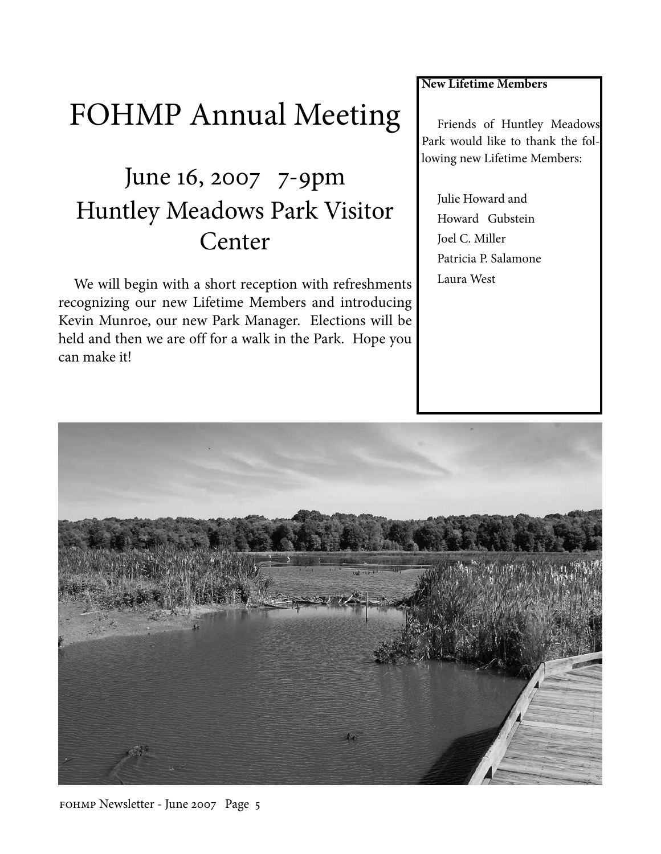# FOHMP Annual Meeting

## June 16, 2007 7-9pm Huntley Meadows Park Visitor Center

We will begin with a short reception with refreshments recognizing our new Lifetime Members and introducing Kevin Munroe, our new Park Manager. Elections will be held and then we are off for a walk in the Park. Hope you can make it!

**New Lifetime Members**

Friends of Huntley Meadows Park would like to thank the following new Lifetime Members:

Julie Howard and Howard Gubstein Joel C. Miller Patricia P. Salamone Laura West



fohmp Newsletter - June 2007 Page 5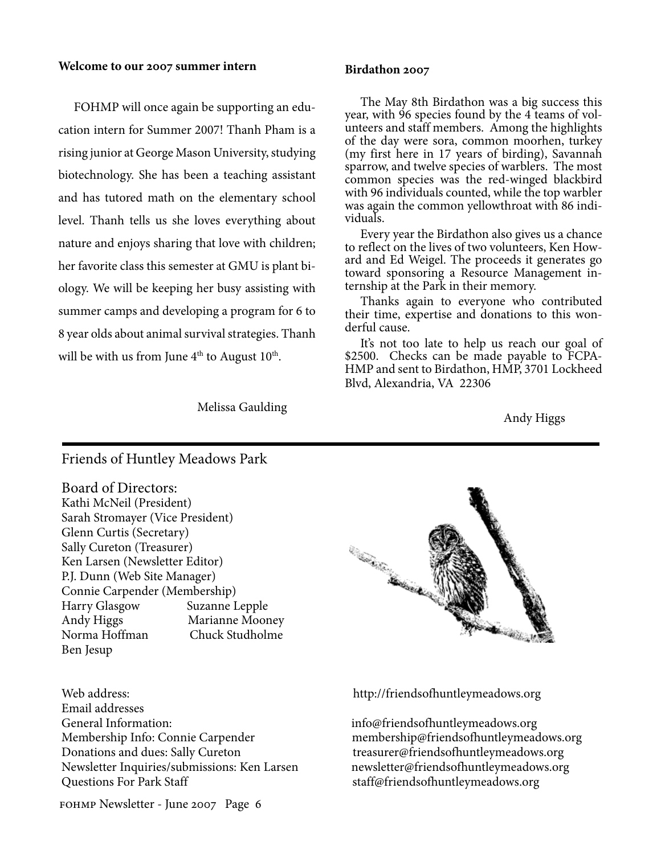### **Welcome to our 2007 summer intern**

FOHMP will once again be supporting an education intern for Summer 2007! Thanh Pham is a rising junior at George Mason University, studying biotechnology. She has been a teaching assistant and has tutored math on the elementary school level. Thanh tells us she loves everything about nature and enjoys sharing that love with children; her favorite class this semester at GMU is plant biology. We will be keeping her busy assisting with summer camps and developing a program for 6 to 8 year olds about animal survival strategies. Thanh will be with us from June  $4<sup>th</sup>$  to August 10<sup>th</sup>.

### Melissa Gaulding

### **Birdathon 2007**

The May 8th Birdathon was a big success this year, with 96 species found by the 4 teams of volunteers and staff members. Among the highlights of the day were sora, common moorhen, turkey (my first here in 17 years of birding), Savannah sparrow, and twelve species of warblers. The most common species was the red-winged blackbird with 96 individuals counted, while the top warbler was again the common yellowthroat with 86 individuals.

Every year the Birdathon also gives us a chance to reflect on the lives of two volunteers, Ken How- ard and Ed Weigel. The proceeds it generates go toward sponsoring a Resource Management in- ternship at the Park in their memory.

Thanks again to everyone who contributed their time, expertise and donations to this won- derful cause.

It's not too late to help us reach our goal of \$2500. Checks can be made payable to FCPA-HMP and sent to Birdathon, HMP, 3701 Lockheed Blvd, Alexandria, VA 22306

Andy Higgs

### Friends of Huntley Meadows Park

Board of Directors: Kathi McNeil (President) Sarah Stromayer (Vice President) Glenn Curtis (Secretary) Sally Cureton (Treasurer) Ken Larsen (Newsletter Editor) P.J. Dunn (Web Site Manager) Connie Carpender (Membership) Harry Glasgow Suzanne Lepple Andy Higgs Marianne Mooney Norma Hoffman Chuck Studholme Ben Jesup

Email addresses General Information: info@friendsofhuntleymeadows.org Membership Info: Connie Carpender membership@friendsofhuntleymeadows.org Donations and dues: Sally Cureton treasurer@friendsofhuntleymeadows.org Newsletter Inquiries/submissions: Ken Larsen newsletter@friendsofhuntleymeadows.org Questions For Park Staff states and staff@friendsofhuntleymeadows.org



Web address: http://friendsofhuntleymeadows.org

fohmp Newsletter - June 2007 Page 6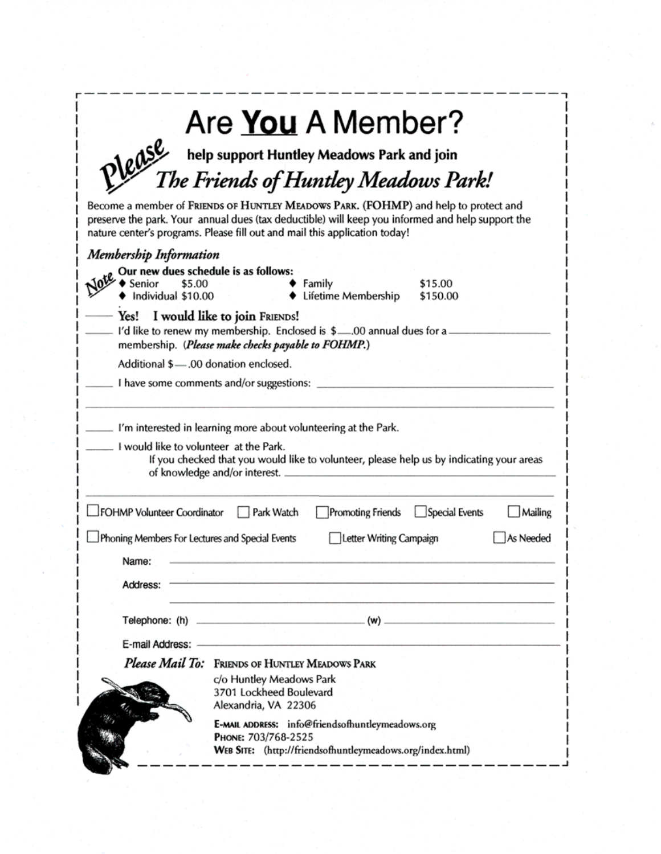| Are You A Member?<br>Please                                                                                                                                                                                                                                           |
|-----------------------------------------------------------------------------------------------------------------------------------------------------------------------------------------------------------------------------------------------------------------------|
| help support Huntley Meadows Park and join<br>T <i>he Friends of Huntley Meadows Park!</i>                                                                                                                                                                            |
| Become a member of FRIENDS OF HUNTLEY MEADOWS PARK. (FOHMP) and help to protect and<br>preserve the park. Your annual dues (tax deductible) will keep you informed and help support the<br>nature center's programs. Please fill out and mail this application today! |
| <b>Membership Information</b>                                                                                                                                                                                                                                         |
| Our new dues schedule is as follows:<br>\$5.00<br>Senior<br>Family<br>\$15.00<br>Individual \$10.00<br>Lifetime Membership<br>\$150.00                                                                                                                                |
| Yes! I would like to join FRIENDS!<br>I'd like to renew my membership. Enclosed is \$00 annual dues for a.<br>membership. (Please make checks payable to FOHMP.)                                                                                                      |
| Additional \$-00 donation enclosed.                                                                                                                                                                                                                                   |
| I have some comments and/or suggestions:                                                                                                                                                                                                                              |
| I would like to volunteer at the Park.<br>If you checked that you would like to volunteer, please help us by indicating your areas<br>of knowledge and/or interest.                                                                                                   |
| FOHMP Volunteer Coordinator<br>Special Events<br>Park Watch<br>Promoting Friends<br>Mailing                                                                                                                                                                           |
| Phoning Members For Lectures and Special Events<br>Letter Writing Campaign<br>As Needed<br>Name:                                                                                                                                                                      |
| Address:                                                                                                                                                                                                                                                              |
| $_{-}$ (w) $_{-}$                                                                                                                                                                                                                                                     |
| E-mail Address:                                                                                                                                                                                                                                                       |
| Please Mail To: FRIENDS OF HUNTLEY MEADOWS PARK                                                                                                                                                                                                                       |
| c/o Huntley Meadows Park<br>3701 Lockheed Boulevard<br>Alexandria, VA 22306                                                                                                                                                                                           |
| E-MAIL ADDRESS: info@friendsofhuntleymeadows.org<br>PHONE: 703/768-2525<br>WEB SITE: (http://friendsofhuntleymeadows.org/index.html)                                                                                                                                  |